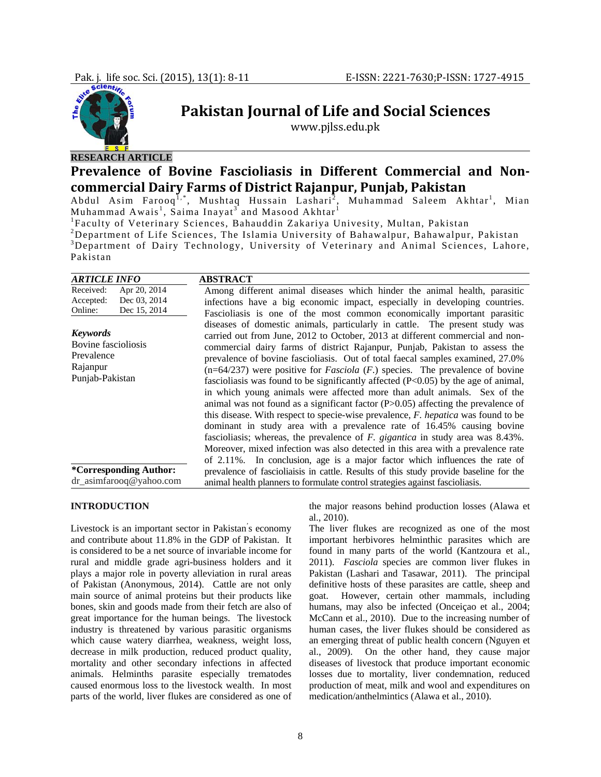

# **Pakistan Journal of Life and Social Sciences**

www.pjlss.edu.pk

### **RESEARCH ARTICLE**

## **Prevalence of Bovine Fascioliasis in Different Commercial and Noncommercial Dairy Farms of District Rajanpur, Punjab, Pakistan**

Abdul Asim Farooq<sup>1,\*</sup>, Mushtaq Hussain Lashari<sup>2</sup>, Muhammad Saleem Akhtar<sup>1</sup>, Mian Muhammad Awais<sup>1</sup>, Saima Inayat<sup>3</sup> and Masood Akhtar<sup>1</sup>

<sup>1</sup> Faculty of Veterinary Sciences, Bahauddin Zakariya Univesity, Multan, Pakistan <sup>2</sup> Depertment of Life Sciences, The Islamic University of Pehomelpur, Behawalnur

<sup>2</sup>Department of Life Sciences, The Islamia University of Bahawalpur, Bahawalpur, Pakistan <sup>3</sup>Department of Dairy Technology, University of Veterinary and Animal Sciences, Lahore, Pakistan

| <b>ARTICLE INFO</b>                                                                 | <b>ABSTRACT</b>                                                                                                                                                                                                                                                                                                                                                                                                                                                                                                                                                                                                                                                                                                                                                                                                                                                                                                                                                                                                                                                                                                      |
|-------------------------------------------------------------------------------------|----------------------------------------------------------------------------------------------------------------------------------------------------------------------------------------------------------------------------------------------------------------------------------------------------------------------------------------------------------------------------------------------------------------------------------------------------------------------------------------------------------------------------------------------------------------------------------------------------------------------------------------------------------------------------------------------------------------------------------------------------------------------------------------------------------------------------------------------------------------------------------------------------------------------------------------------------------------------------------------------------------------------------------------------------------------------------------------------------------------------|
| Received:<br>Apr 20, 2014<br>Dec 03, 2014<br>Accepted:<br>Dec 15, 2014<br>Online:   | Among different animal diseases which hinder the animal health, parasitic<br>infections have a big economic impact, especially in developing countries.<br>Fascioliasis is one of the most common economically important parasitic                                                                                                                                                                                                                                                                                                                                                                                                                                                                                                                                                                                                                                                                                                                                                                                                                                                                                   |
| <b>Keywords</b><br>Bovine fascioliosis<br>Prevalence<br>Rajanpur<br>Punjab-Pakistan | diseases of domestic animals, particularly in cattle. The present study was<br>carried out from June, 2012 to October, 2013 at different commercial and non-<br>commercial dairy farms of district Rajanpur, Punjab, Pakistan to assess the<br>prevalence of bovine fascioliasis. Out of total faecal samples examined, 27.0%<br>$(n=64/237)$ were positive for <i>Fasciola</i> ( <i>F</i> .) species. The prevalence of bovine<br>fascioliasis was found to be significantly affected $(P<0.05)$ by the age of animal,<br>in which young animals were affected more than adult animals. Sex of the<br>animal was not found as a significant factor $(P>0.05)$ affecting the prevalence of<br>this disease. With respect to specie-wise prevalence, F. hepatica was found to be<br>dominant in study area with a prevalence rate of 16.45% causing bovine<br>fascioliasis; whereas, the prevalence of <i>F. gigantica</i> in study area was 8.43%.<br>Moreover, mixed infection was also detected in this area with a prevalence rate<br>of 2.11%. In conclusion, age is a major factor which influences the rate of |
| *Corresponding Author:<br>dr_asimfarooq@yahoo.com                                   | prevalence of fascioliaisis in cattle. Results of this study provide baseline for the<br>animal health planners to formulate control strategies against fascioliasis.                                                                                                                                                                                                                                                                                                                                                                                                                                                                                                                                                                                                                                                                                                                                                                                                                                                                                                                                                |

#### **INTRODUCTION**

Livestock is an important sector in Pakistan' s economy and contribute about 11.8% in the GDP of Pakistan. It is considered to be a net source of invariable income for rural and middle grade agri-business holders and it plays a major role in poverty alleviation in rural areas of Pakistan (Anonymous, 2014). Cattle are not only main source of animal proteins but their products like bones, skin and goods made from their fetch are also of great importance for the human beings. The livestock industry is threatened by various parasitic organisms which cause watery diarrhea, weakness, weight loss, decrease in milk production, reduced product quality, mortality and other secondary infections in affected animals. Helminths parasite especially trematodes caused enormous loss to the livestock wealth. In most parts of the world, liver flukes are considered as one of

the major reasons behind production losses (Alawa et al., 2010).

The liver flukes are recognized as one of the most important herbivores helminthic parasites which are found in many parts of the world (Kantzoura et al., 2011). *Fasciola* species are common liver flukes in Pakistan (Lashari and Tasawar, 2011). The principal definitive hosts of these parasites are cattle, sheep and goat. However, certain other mammals, including humans, may also be infected (Onceiçao et al., 2004; McCann et al., 2010). Due to the increasing number of human cases, the liver flukes should be considered as an emerging threat of public health concern (Nguyen et al., 2009). On the other hand, they cause major diseases of livestock that produce important economic losses due to mortality, liver condemnation, reduced production of meat, milk and wool and expenditures on medication/anthelmintics (Alawa et al., 2010).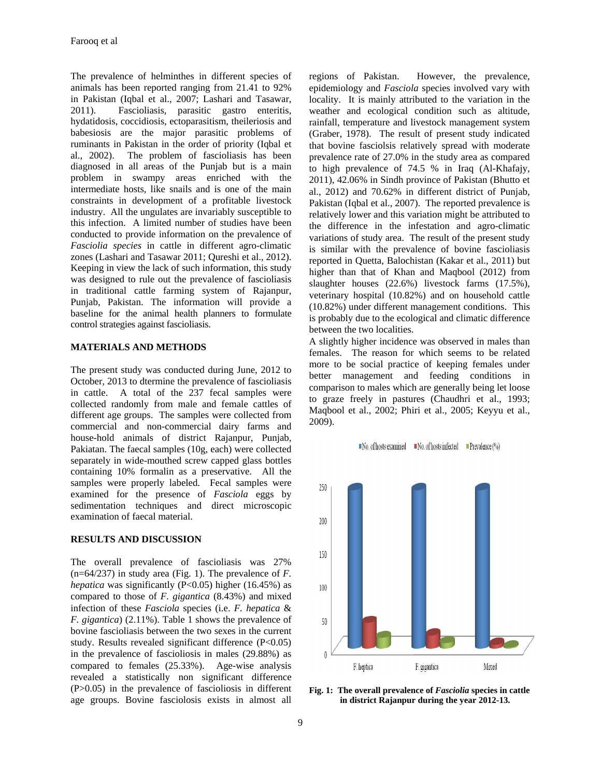The prevalence of helminthes in different species of animals has been reported ranging from 21.41 to 92% in Pakistan (Iqbal et al., 2007; Lashari and Tasawar, 2011). Fascioliasis, parasitic gastro enteritis, hydatidosis, coccidiosis, ectoparasitism, theileriosis and babesiosis are the major parasitic problems of ruminants in Pakistan in the order of priority (Iqbal et al., 2002). The problem of fascioliasis has been diagnosed in all areas of the Punjab but is a main problem in swampy areas enriched with the intermediate hosts, like snails and is one of the main constraints in development of a profitable livestock industry. All the ungulates are invariably susceptible to this infection. A limited number of studies have been conducted to provide information on the prevalence of *Fasciolia species* in cattle in different agro-climatic zones (Lashari and Tasawar 2011; Qureshi et al., 2012). Keeping in view the lack of such information, this study was designed to rule out the prevalence of fascioliasis in traditional cattle farming system of Rajanpur, Punjab, Pakistan. The information will provide a baseline for the animal health planners to formulate control strategies against fascioliasis.

#### **MATERIALS AND METHODS**

The present study was conducted during June, 2012 to October, 2013 to dtermine the prevalence of fascioliasis in cattle. A total of the 237 fecal samples were collected randomly from male and female cattles of different age groups. The samples were collected from commercial and non-commercial dairy farms and house-hold animals of district Rajanpur, Punjab, Pakiatan. The faecal samples (10g, each) were collected separately in wide-mouthed screw capped glass bottles containing 10% formalin as a preservative. All the samples were properly labeled. Fecal samples were examined for the presence of *Fasciola* eggs by sedimentation techniques and direct microscopic examination of faecal material.

#### **RESULTS AND DISCUSSION**

The overall prevalence of fascioliasis was 27% (n=64/237) in study area (Fig. 1). The prevalence of *F. hepatica* was significantly (P<0.05) higher (16.45%) as compared to those of *F. gigantica* (8.43%) and mixed infection of these *Fasciola* species (i.e. *F. hepatica* & *F. gigantica*) (2.11%). Table 1 shows the prevalence of bovine fascioliasis between the two sexes in the current study. Results revealed significant difference (P<0.05) in the prevalence of fascioliosis in males (29.88%) as compared to females (25.33%). Age-wise analysis revealed a statistically non significant difference (P>0.05) in the prevalence of fascioliosis in different age groups. Bovine fasciolosis exists in almost all

regions of Pakistan. However, the prevalence, epidemiology and *Fasciola* species involved vary with locality. It is mainly attributed to the variation in the weather and ecological condition such as altitude, rainfall, temperature and livestock management system (Graber, 1978). The result of present study indicated that bovine fasciolsis relatively spread with moderate prevalence rate of 27.0% in the study area as compared to high prevalence of 74.5 % in Iraq (Al-Khafajy, 2011), 42.06% in Sindh province of Pakistan (Bhutto et al., 2012) and 70.62% in different district of Punjab, Pakistan (Iqbal et al., 2007). The reported prevalence is relatively lower and this variation might be attributed to the difference in the infestation and agro-climatic variations of study area. The result of the present study is similar with the prevalence of bovine fascioliasis reported in Quetta, Balochistan (Kakar et al., 2011) but higher than that of Khan and Maqbool (2012) from slaughter houses (22.6%) livestock farms (17.5%), veterinary hospital (10.82%) and on household cattle (10.82%) under different management conditions. This is probably due to the ecological and climatic difference between the two localities.

A slightly higher incidence was observed in males than females. The reason for which seems to be related more to be social practice of keeping females under better management and feeding conditions in comparison to males which are generally being let loose to graze freely in pastures (Chaudhri et al., 1993; Maqbool et al., 2002; Phiri et al., 2005; Keyyu et al., 2009).





**Fig. 1: The overall prevalence of** *Fasciolia* **species in cattle in district Rajanpur during the year 2012-13.**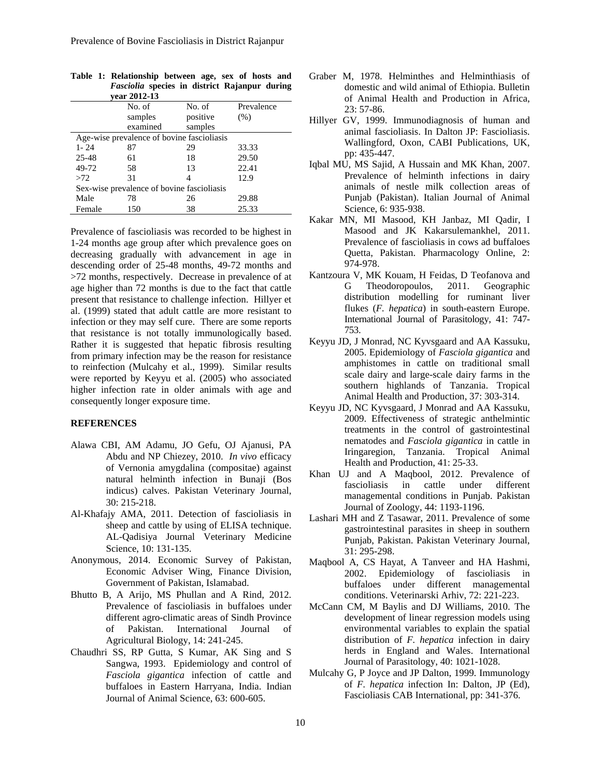| vear 2012-13                               |                                            |          |            |  |  |  |  |  |
|--------------------------------------------|--------------------------------------------|----------|------------|--|--|--|--|--|
|                                            | No. of                                     | No. of   | Prevalence |  |  |  |  |  |
|                                            | samples                                    | positive | (% )       |  |  |  |  |  |
|                                            | examined                                   | samples  |            |  |  |  |  |  |
| Age-wise prevalence of bovine fascioliasis |                                            |          |            |  |  |  |  |  |
| $1 - 24$                                   | 87                                         | 29       | 33.33      |  |  |  |  |  |
| $25 - 48$                                  | 61                                         | 18       | 29.50      |  |  |  |  |  |
| 49-72                                      | 58                                         | 13       | 22.41      |  |  |  |  |  |
| >72                                        | 31                                         | 4        | 12.9       |  |  |  |  |  |
|                                            | Sex-wise prevalence of bovine fascioliasis |          |            |  |  |  |  |  |
| Male                                       | 78                                         | 26       | 29.88      |  |  |  |  |  |
| Female                                     | 150                                        | 38       | 25.33      |  |  |  |  |  |

|  | Table 1: Relationship between age, sex of hosts and  |  |  |  |  |  |  |
|--|------------------------------------------------------|--|--|--|--|--|--|
|  | <i>Fasciolia</i> species in district Rajanpur during |  |  |  |  |  |  |
|  | vear 2012-13                                         |  |  |  |  |  |  |

Prevalence of fascioliasis was recorded to be highest in 1-24 months age group after which prevalence goes on decreasing gradually with advancement in age in descending order of 25-48 months, 49-72 months and >72 months, respectively. Decrease in prevalence of at age higher than 72 months is due to the fact that cattle present that resistance to challenge infection. Hillyer et al. (1999) stated that adult cattle are more resistant to infection or they may self cure. There are some reports that resistance is not totally immunologically based. Rather it is suggested that hepatic fibrosis resulting from primary infection may be the reason for resistance to reinfection (Mulcahy et al., 1999). Similar results were reported by Keyyu et al. (2005) who associated higher infection rate in older animals with age and consequently longer exposure time.

#### **REFERENCES**

- Alawa CBI, AM Adamu, JO Gefu, OJ Ajanusi, PA Abdu and NP Chiezey, 2010. *In vivo* efficacy of Vernonia amygdalina (compositae) against natural helminth infection in Bunaji (Bos indicus) calves. Pakistan Veterinary Journal, 30: 215-218.
- Al-Khafajy AMA, 2011. Detection of fascioliasis in sheep and cattle by using of ELISA technique. AL-Qadisiya Journal Veterinary Medicine Science, 10: 131-135.
- Anonymous, 2014. Economic Survey of Pakistan, Economic Adviser Wing, Finance Division, Government of Pakistan, Islamabad.
- Bhutto B, A Arijo, MS Phullan and A Rind, 2012. Prevalence of fascioliasis in buffaloes under different agro-climatic areas of Sindh Province of Pakistan. International Journal of Agricultural Biology, 14: 241-245.
- Chaudhri SS, RP Gutta, S Kumar, AK Sing and S Sangwa, 1993. Epidemiology and control of *Fasciola gigantica* infection of cattle and buffaloes in Eastern Harryana, India. Indian Journal of Animal Science, 63: 600-605.
- Graber M, 1978. Helminthes and Helminthiasis of domestic and wild animal of Ethiopia. Bulletin of Animal Health and Production in Africa, 23: 57-86.
- Hillyer GV, 1999. Immunodiagnosis of human and animal fascioliasis. In Dalton JP: Fascioliasis. Wallingford, Oxon, CABI Publications, UK, pp: 435-447.
- Iqbal MU, MS Sajid, A Hussain and MK Khan, 2007. Prevalence of helminth infections in dairy animals of nestle milk collection areas of Punjab (Pakistan). Italian Journal of Animal Science, 6: 935-938.
- Kakar MN, MI Masood, KH Janbaz, MI Qadir, I Masood and JK Kakarsulemankhel, 2011. Prevalence of fascioliasis in cows ad buffaloes Quetta, Pakistan. Pharmacology Online, 2: 974-978.
- Kantzoura V, MK Kouam, H Feidas, D Teofanova and G Theodoropoulos, 2011. Geographic distribution modelling for ruminant liver flukes (*F. hepatica*) in south-eastern Europe. International Journal of Parasitology, 41: 747- 753.
- Keyyu JD, J Monrad, NC Kyvsgaard and AA Kassuku, 2005. Epidemiology of *Fasciola gigantica* and amphistomes in cattle on traditional small scale dairy and large-scale dairy farms in the southern highlands of Tanzania. Tropical Animal Health and Production, 37: 303-314.
- Keyyu JD, NC Kyvsgaard, J Monrad and AA Kassuku, 2009. Effectiveness of strategic anthelmintic treatments in the control of gastrointestinal nematodes and *Fasciola gigantica* in cattle in Iringaregion, Tanzania. Tropical Animal Health and Production, 41: 25-33.
- Khan UJ and A Maqbool, 2012. Prevalence of fascioliasis in cattle under different managemental conditions in Punjab. Pakistan Journal of Zoology, 44: 1193-1196.
- Lashari MH and Z Tasawar, 2011. Prevalence of some gastrointestinal parasites in sheep in southern Punjab, Pakistan. Pakistan Veterinary Journal, 31: 295-298.
- Maqbool A, CS Hayat, A Tanveer and HA Hashmi, 2002. Epidemiology of fascioliasis in buffaloes under different managemental conditions. Veterinarski Arhiv, 72: 221-223.
- McCann CM, M Baylis and DJ Williams, 2010. The development of linear regression models using environmental variables to explain the spatial distribution of *F. hepatica* infection in dairy herds in England and Wales. International Journal of Parasitology, 40: 1021-1028.
- Mulcahy G, P Joyce and JP Dalton, 1999. Immunology of *F. hepatica* infection In: Dalton, JP (Ed), Fascioliasis CAB International, pp: 341-376.